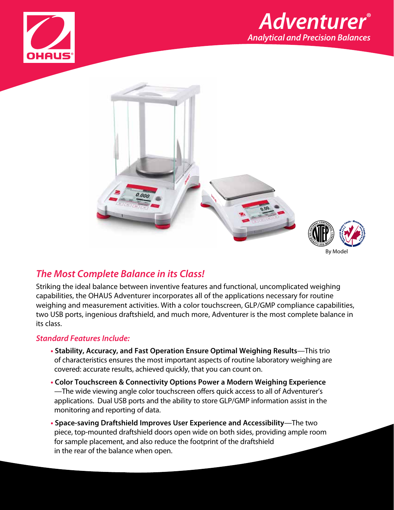





# *The Most Complete Balance in its Class!*

Striking the ideal balance between inventive features and functional, uncomplicated weighing capabilities, the OHAUS Adventurer incorporates all of the applications necessary for routine weighing and measurement activities. With a color touchscreen, GLP/GMP compliance capabilities, two USB ports, ingenious draftshield, and much more, Adventurer is the most complete balance in its class.

## *Standard Features Include:*

- **• Stability, Accuracy, and Fast Operation Ensure Optimal Weighing Results**—This trio of characteristics ensures the most important aspects of routine laboratory weighing are covered: accurate results, achieved quickly, that you can count on.
- **• Color Touchscreen & Connectivity Options Power a Modern Weighing Experience**  —The wide viewing angle color touchscreen offers quick access to all of Adventurer's applications. Dual USB ports and the ability to store GLP/GMP information assist in the monitoring and reporting of data.
- **• Space-saving Draftshield Improves User Experience and Accessibility**—The two piece, top-mounted draftshield doors open wide on both sides, providing ample room for sample placement, and also reduce the footprint of the draftshield in the rear of the balance when open.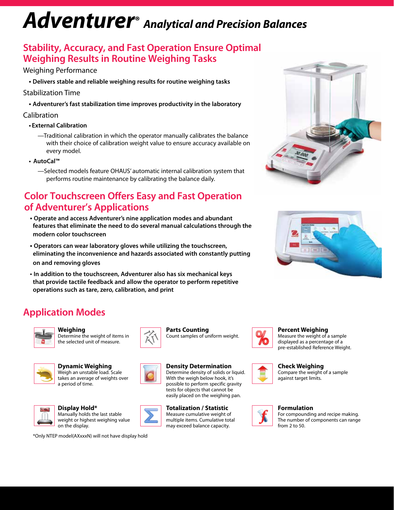# *Adventurer® Analytical and Precision Balances*

# **Stability, Accuracy, and Fast Operation Ensure Optimal Weighing Results in Routine Weighing Tasks**

## Weighing Performance

**• Delivers stable and reliable weighing results for routine weighing tasks**

## Stabilization Time

**• Adventurer's fast stabilization time improves productivity in the laboratory**

## Calibration

### **• External Calibration**

- —Traditional calibration in which the operator manually calibrates the balance with their choice of calibration weight value to ensure accuracy available on every model.
- **AutoCal™**
	- —Selected models feature OHAUS' automatic internal calibration system that performs routine maintenance by calibrating the balance daily.

# **Color Touchscreen Offers Easy and Fast Operation of Adventurer's Applications**

- **Operate and access Adventurer's nine application modes and abundant features that eliminate the need to do several manual calculations through the modern color touchscreen**
- **Operators can wear laboratory gloves while utilizing the touchscreen, eliminating the inconvenience and hazards associated with constantly putting on and removing gloves**
- **In addition to the touchscreen, Adventurer also has six mechanical keys that provide tactile feedback and allow the operator to perform repetitive operations such as tare, zero, calibration, and print**





# **Application Modes**



**Weighing** Determine the weight of items in the selected unit of measure.



 $1.10 -$ 

**Dynamic Weighing** Weigh an unstable load. Scale takes an average of weights over a period of time.



**Density Determination** Determine density of solids or liquid.

**Parts Counting**



Count samples of uniform weight.



**Totalization / Statistic**





**Percent Weighing**

Measure the weight of a sample displayed as a percentage of a pre-established Reference Weight.



**Check Weighing**

Compare the weight of a sample against target limits.



For compounding and recipe making. The number of components can range from 2 to 50.



Manually holds the last stable weight or highest weighing value

**Display Hold\***

on the display.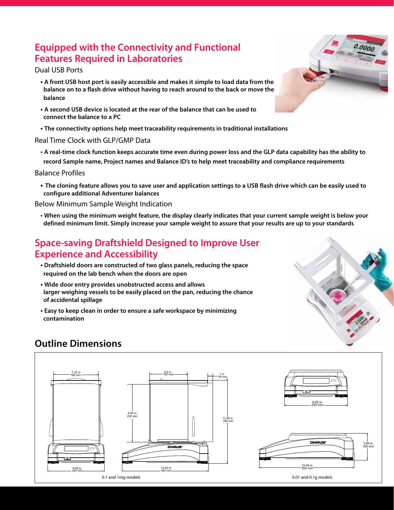## **Equipped with the Connectivity and Functional Features Required in Laboratories**

#### Dual USB Ports

- **A front USB host port is easily accessible and makes it simple to load data from the balance on to a flash drive without having to reach around to the back or move the balance**
- **A second USB device is located at the rear of the balance that can be used to connect the balance to a PC**
- **The connectivity options help meet traceability requirements in traditional installations**

#### Real Time Clock with GLP/GMP Data

• **A real-time clock function keeps accurate time even during power loss and the GLP data capability has the ability to record Sample name, Project names and Balance ID's to help meet traceability and compliance requirements**

#### Balance Profiles

**• The cloning feature allows you to save user and application settings to a USB flash drive which can be easily used to configure additional Adventurer balances**

#### Below Minimum Sample Weight Indication

• **When using the minimum weight feature, the display clearly indicates that your current sample weight is below your**  186 mm **defined minimum limit. Simply increase your sample weight to assure that your results are up to your standards**

## **Space-saving Draftshield Designed to Improve User Experience and Accessibility**

- **Draftshield doors are constructed of two glass panels, reducing the space required on the lab bench when the doors are open**
- **Wide door entry provides unobstructed access and allows larger weighing vessels to be easily placed on the pan, reducing the chance of accidental spillage**
- **Easy to keep clean in order to ensure a safe workspace by minimizing contamination**



## **Outline Dimensions**